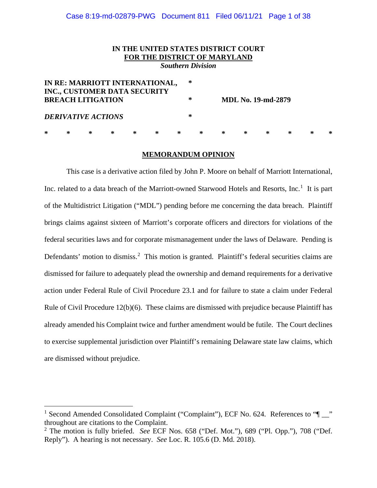# Case 8:19-md-02879-PWG Document 811 Filed 06/11/21 Page 1 of 38

# **IN THE UNITED STATES DISTRICT COURT FOR THE DISTRICT OF MARYLAND**

*Southern Division*

| IN RE: MARRIOTT INTERNATIONAL,<br>INC., CUSTOMER DATA SECURITY |   |   |   |   |   |   |   | ∗ |   |                           |   |   |   |   |  |
|----------------------------------------------------------------|---|---|---|---|---|---|---|---|---|---------------------------|---|---|---|---|--|
| <b>BREACH LITIGATION</b>                                       |   |   |   |   |   |   | ∗ |   |   | <b>MDL No. 19-md-2879</b> |   |   |   |   |  |
| <b>DERIVATIVE ACTIONS</b>                                      |   |   |   |   |   |   | ∗ |   |   |                           |   |   |   |   |  |
| $\ast$                                                         | ∗ | ∗ | ∗ | ∗ | ∗ | ∗ |   | ∗ | ∗ | ∗                         | ∗ | ∗ | ∗ | ∗ |  |

#### **MEMORANDUM OPINION**

This case is a derivative action filed by John P. Moore on behalf of Marriott International, Inc. related to a data breach of the Marriott-owned Starwood Hotels and Resorts, Inc.<sup>1</sup> It is part of the Multidistrict Litigation ("MDL") pending before me concerning the data breach. Plaintiff brings claims against sixteen of Marriott's corporate officers and directors for violations of the federal securities laws and for corporate mismanagement under the laws of Delaware. Pending is Defendants' motion to dismiss.<sup>2</sup> This motion is granted. Plaintiff's federal securities claims are dismissed for failure to adequately plead the ownership and demand requirements for a derivative action under Federal Rule of Civil Procedure 23.1 and for failure to state a claim under Federal Rule of Civil Procedure 12(b)(6). These claims are dismissed with prejudice because Plaintiff has already amended his Complaint twice and further amendment would be futile. The Court declines to exercise supplemental jurisdiction over Plaintiff's remaining Delaware state law claims, which are dismissed without prejudice.

<sup>&</sup>lt;sup>1</sup> Second Amended Consolidated Complaint ("Complaint"), ECF No. 624. References to " $\blacksquare$ " throughout are citations to the Complaint.

<sup>2</sup> The motion is fully briefed. *See* ECF Nos. 658 ("Def. Mot."), 689 ("Pl. Opp."), 708 ("Def. Reply"). A hearing is not necessary. *See* Loc. R. 105.6 (D. Md. 2018).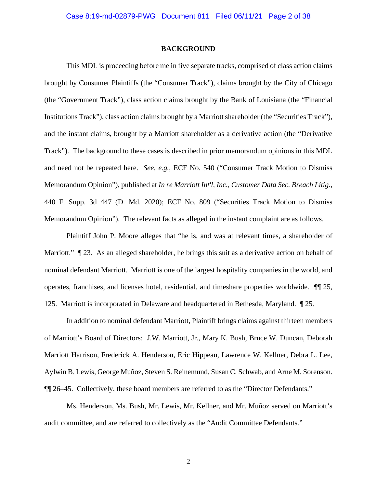#### **BACKGROUND**

This MDL is proceeding before me in five separate tracks, comprised of class action claims brought by Consumer Plaintiffs (the "Consumer Track"), claims brought by the City of Chicago (the "Government Track"), class action claims brought by the Bank of Louisiana (the "Financial Institutions Track"), class action claims brought by a Marriott shareholder (the "Securities Track"), and the instant claims, brought by a Marriott shareholder as a derivative action (the "Derivative Track"). The background to these cases is described in prior memorandum opinions in this MDL and need not be repeated here. *See, e.g.*, ECF No. 540 ("Consumer Track Motion to Dismiss Memorandum Opinion"), published at *In re Marriott Int'l, Inc., Customer Data Sec. Breach Litig.*, 440 F. Supp. 3d 447 (D. Md. 2020); ECF No. 809 ("Securities Track Motion to Dismiss Memorandum Opinion"). The relevant facts as alleged in the instant complaint are as follows.

Plaintiff John P. Moore alleges that "he is, and was at relevant times, a shareholder of Marriott."  $\parallel$  23. As an alleged shareholder, he brings this suit as a derivative action on behalf of nominal defendant Marriott. Marriott is one of the largest hospitality companies in the world, and operates, franchises, and licenses hotel, residential, and timeshare properties worldwide. ¶¶ 25, 125. Marriott is incorporated in Delaware and headquartered in Bethesda, Maryland. ¶ 25.

In addition to nominal defendant Marriott, Plaintiff brings claims against thirteen members of Marriott's Board of Directors: J.W. Marriott, Jr., Mary K. Bush, Bruce W. Duncan, Deborah Marriott Harrison, Frederick A. Henderson, Eric Hippeau, Lawrence W. Kellner, Debra L. Lee, Aylwin B. Lewis, George Muñoz, Steven S. Reinemund, Susan C. Schwab, and Arne M. Sorenson. ¶¶ 26–45. Collectively, these board members are referred to as the "Director Defendants."

Ms. Henderson, Ms. Bush, Mr. Lewis, Mr. Kellner, and Mr. Muñoz served on Marriott's audit committee, and are referred to collectively as the "Audit Committee Defendants."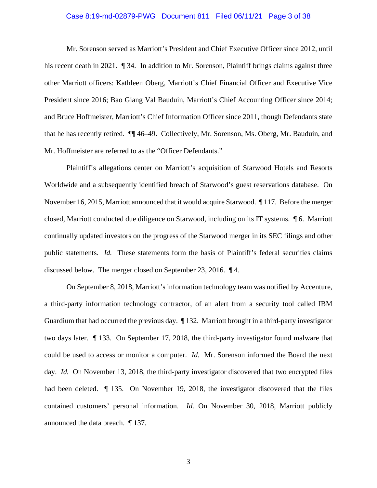# Case 8:19-md-02879-PWG Document 811 Filed 06/11/21 Page 3 of 38

Mr. Sorenson served as Marriott's President and Chief Executive Officer since 2012, until his recent death in 2021.  $\sqrt{ }$  34. In addition to Mr. Sorenson, Plaintiff brings claims against three other Marriott officers: Kathleen Oberg, Marriott's Chief Financial Officer and Executive Vice President since 2016; Bao Giang Val Bauduin, Marriott's Chief Accounting Officer since 2014; and Bruce Hoffmeister, Marriott's Chief Information Officer since 2011, though Defendants state that he has recently retired. ¶¶ 46–49. Collectively, Mr. Sorenson, Ms. Oberg, Mr. Bauduin, and Mr. Hoffmeister are referred to as the "Officer Defendants."

Plaintiff's allegations center on Marriott's acquisition of Starwood Hotels and Resorts Worldwide and a subsequently identified breach of Starwood's guest reservations database. On November 16, 2015, Marriott announced that it would acquire Starwood. ¶ 117. Before the merger closed, Marriott conducted due diligence on Starwood, including on its IT systems. ¶ 6. Marriott continually updated investors on the progress of the Starwood merger in its SEC filings and other public statements. *Id.* These statements form the basis of Plaintiff's federal securities claims discussed below. The merger closed on September 23, 2016. ¶ 4.

On September 8, 2018, Marriott's information technology team was notified by Accenture, a third-party information technology contractor, of an alert from a security tool called IBM Guardium that had occurred the previous day. ¶ 132. Marriott brought in a third-party investigator two days later. ¶ 133. On September 17, 2018, the third-party investigator found malware that could be used to access or monitor a computer. *Id.* Mr. Sorenson informed the Board the next day. *Id.* On November 13, 2018, the third-party investigator discovered that two encrypted files had been deleted.  $\parallel$  135. On November 19, 2018, the investigator discovered that the files contained customers' personal information. *Id.* On November 30, 2018, Marriott publicly announced the data breach. ¶ 137.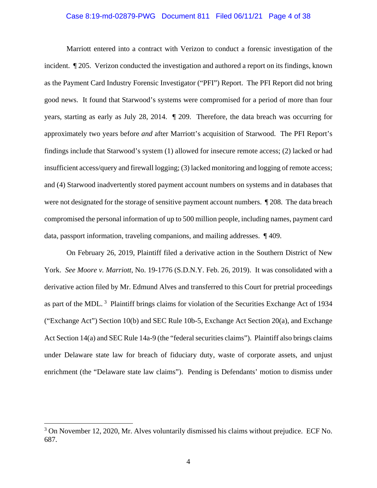# Case 8:19-md-02879-PWG Document 811 Filed 06/11/21 Page 4 of 38

Marriott entered into a contract with Verizon to conduct a forensic investigation of the incident. ¶ 205. Verizon conducted the investigation and authored a report on its findings, known as the Payment Card Industry Forensic Investigator ("PFI") Report. The PFI Report did not bring good news. It found that Starwood's systems were compromised for a period of more than four years, starting as early as July 28, 2014. ¶ 209. Therefore, the data breach was occurring for approximately two years before *and* after Marriott's acquisition of Starwood. The PFI Report's findings include that Starwood's system (1) allowed for insecure remote access; (2) lacked or had insufficient access/query and firewall logging; (3) lacked monitoring and logging of remote access; and (4) Starwood inadvertently stored payment account numbers on systems and in databases that were not designated for the storage of sensitive payment account numbers. ¶ 208. The data breach compromised the personal information of up to 500 million people, including names, payment card data, passport information, traveling companions, and mailing addresses. ¶ 409.

On February 26, 2019, Plaintiff filed a derivative action in the Southern District of New York. *See Moore v. Marriott*, No. 19-1776 (S.D.N.Y. Feb. 26, 2019). It was consolidated with a derivative action filed by Mr. Edmund Alves and transferred to this Court for pretrial proceedings as part of the MDL.<sup>3</sup> Plaintiff brings claims for violation of the Securities Exchange Act of 1934 ("Exchange Act") Section 10(b) and SEC Rule 10b-5, Exchange Act Section 20(a), and Exchange Act Section 14(a) and SEC Rule 14a-9 (the "federal securities claims"). Plaintiff also brings claims under Delaware state law for breach of fiduciary duty, waste of corporate assets, and unjust enrichment (the "Delaware state law claims"). Pending is Defendants' motion to dismiss under

<sup>&</sup>lt;sup>3</sup> On November 12, 2020, Mr. Alves voluntarily dismissed his claims without prejudice. ECF No. 687.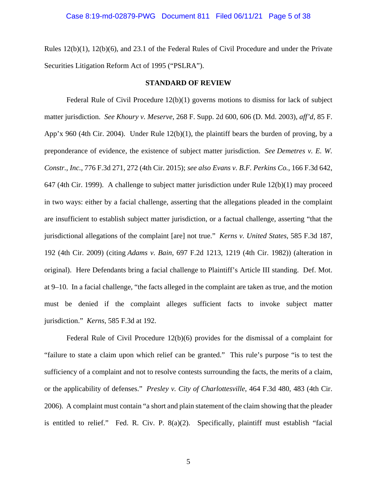Rules 12(b)(1), 12(b)(6), and 23.1 of the Federal Rules of Civil Procedure and under the Private Securities Litigation Reform Act of 1995 ("PSLRA").

#### **STANDARD OF REVIEW**

Federal Rule of Civil Procedure 12(b)(1) governs motions to dismiss for lack of subject matter jurisdiction. *See Khoury v. Meserve*, 268 F. Supp. 2d 600, 606 (D. Md. 2003), *aff'd*, 85 F. App'x 960 (4th Cir. 2004). Under Rule 12(b)(1), the plaintiff bears the burden of proving, by a preponderance of evidence, the existence of subject matter jurisdiction. *See Demetres v. E. W. Constr., Inc.*, 776 F.3d 271, 272 (4th Cir. 2015); *see also Evans v. B.F. Perkins Co.*, 166 F.3d 642, 647 (4th Cir. 1999). A challenge to subject matter jurisdiction under Rule 12(b)(1) may proceed in two ways: either by a facial challenge, asserting that the allegations pleaded in the complaint are insufficient to establish subject matter jurisdiction, or a factual challenge, asserting "that the jurisdictional allegations of the complaint [are] not true." *Kerns v. United States*, 585 F.3d 187, 192 (4th Cir. 2009) (citing *Adams v. Bain*, 697 F.2d 1213, 1219 (4th Cir. 1982)) (alteration in original). Here Defendants bring a facial challenge to Plaintiff's Article III standing. Def. Mot. at 9–10. In a facial challenge, "the facts alleged in the complaint are taken as true, and the motion must be denied if the complaint alleges sufficient facts to invoke subject matter jurisdiction." *Kerns*, 585 F.3d at 192.

Federal Rule of Civil Procedure 12(b)(6) provides for the dismissal of a complaint for "failure to state a claim upon which relief can be granted." This rule's purpose "is to test the sufficiency of a complaint and not to resolve contests surrounding the facts, the merits of a claim, or the applicability of defenses." *Presley v. City of Charlottesville*, 464 F.3d 480, 483 (4th Cir. 2006). A complaint must contain "a short and plain statement of the claim showing that the pleader is entitled to relief." Fed. R. Civ. P. 8(a)(2). Specifically, plaintiff must establish "facial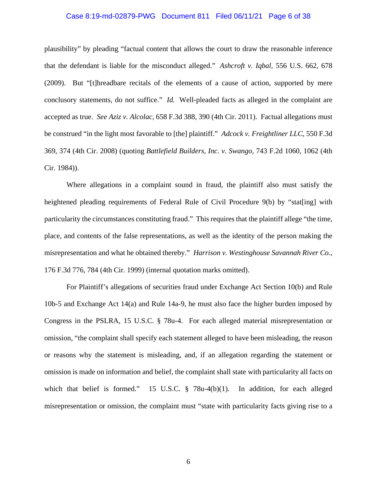# Case 8:19-md-02879-PWG Document 811 Filed 06/11/21 Page 6 of 38

plausibility" by pleading "factual content that allows the court to draw the reasonable inference that the defendant is liable for the misconduct alleged." *Ashcroft v. Iqbal*, 556 U.S. 662, 678 (2009). But "[t]hreadbare recitals of the elements of a cause of action, supported by mere conclusory statements, do not suffice." *Id.* Well-pleaded facts as alleged in the complaint are accepted as true. *See Aziz v. Alcolac*, 658 F.3d 388, 390 (4th Cir. 2011). Factual allegations must be construed "in the light most favorable to [the] plaintiff." *Adcock v. Freightliner LLC*, 550 F.3d 369, 374 (4th Cir. 2008) (quoting *Battlefield Builders, Inc. v. Swango*, 743 F.2d 1060, 1062 (4th Cir. 1984)).

Where allegations in a complaint sound in fraud, the plaintiff also must satisfy the heightened pleading requirements of Federal Rule of Civil Procedure 9(b) by "stat[ing] with particularity the circumstances constituting fraud." This requires that the plaintiff allege "the time, place, and contents of the false representations, as well as the identity of the person making the misrepresentation and what he obtained thereby." *Harrison v. Westinghouse Savannah River Co.*, 176 F.3d 776, 784 (4th Cir. 1999) (internal quotation marks omitted).

For Plaintiff's allegations of securities fraud under Exchange Act Section 10(b) and Rule 10b-5 and Exchange Act 14(a) and Rule 14a-9, he must also face the higher burden imposed by Congress in the PSLRA, 15 U.S.C. § 78u-4. For each alleged material misrepresentation or omission, "the complaint shall specify each statement alleged to have been misleading, the reason or reasons why the statement is misleading, and, if an allegation regarding the statement or omission is made on information and belief, the complaint shall state with particularity all facts on which that belief is formed." 15 U.S.C. § 78u-4(b)(1). In addition, for each alleged misrepresentation or omission, the complaint must "state with particularity facts giving rise to a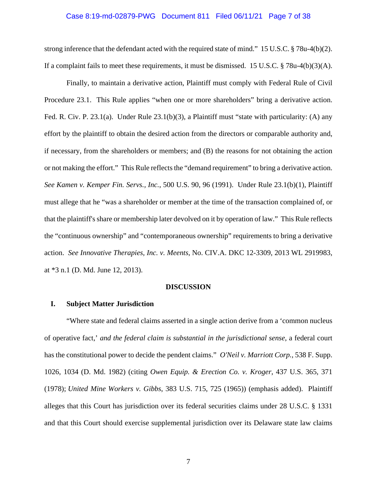# Case 8:19-md-02879-PWG Document 811 Filed 06/11/21 Page 7 of 38

strong inference that the defendant acted with the required state of mind." 15 U.S.C. § 78u-4(b)(2). If a complaint fails to meet these requirements, it must be dismissed. 15 U.S.C.  $\S$  78u-4(b)(3)(A).

Finally, to maintain a derivative action, Plaintiff must comply with Federal Rule of Civil Procedure 23.1. This Rule applies "when one or more shareholders" bring a derivative action. Fed. R. Civ. P. 23.1(a). Under Rule 23.1(b)(3), a Plaintiff must "state with particularity: (A) any effort by the plaintiff to obtain the desired action from the directors or comparable authority and, if necessary, from the shareholders or members; and (B) the reasons for not obtaining the action or not making the effort." This Rule reflects the "demand requirement" to bring a derivative action. *See Kamen v. Kemper Fin. Servs., Inc.*, 500 U.S. 90, 96 (1991). Under Rule 23.1(b)(1), Plaintiff must allege that he "was a shareholder or member at the time of the transaction complained of, or that the plaintiff's share or membership later devolved on it by operation of law." This Rule reflects the "continuous ownership" and "contemporaneous ownership" requirements to bring a derivative action. *See Innovative Therapies, Inc. v. Meents*, No. CIV.A. DKC 12-3309, 2013 WL 2919983, at \*3 n.1 (D. Md. June 12, 2013).

# **DISCUSSION**

# **I. Subject Matter Jurisdiction**

"Where state and federal claims asserted in a single action derive from a 'common nucleus of operative fact,' *and the federal claim is substantial in the jurisdictional sense*, a federal court has the constitutional power to decide the pendent claims." *O'Neil v. Marriott Corp.*, 538 F. Supp. 1026, 1034 (D. Md. 1982) (citing *Owen Equip. & Erection Co. v. Kroger*, 437 U.S. 365, 371 (1978); *United Mine Workers v. Gibbs*, 383 U.S. 715, 725 (1965)) (emphasis added). Plaintiff alleges that this Court has jurisdiction over its federal securities claims under 28 U.S.C. § 1331 and that this Court should exercise supplemental jurisdiction over its Delaware state law claims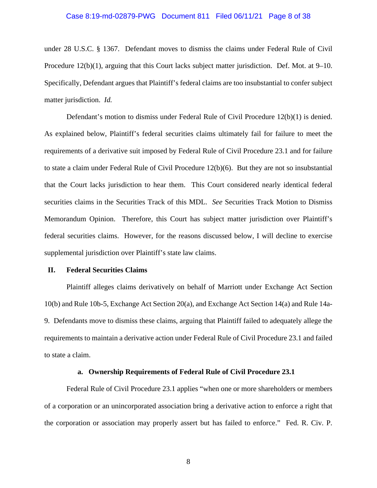# Case 8:19-md-02879-PWG Document 811 Filed 06/11/21 Page 8 of 38

under 28 U.S.C. § 1367. Defendant moves to dismiss the claims under Federal Rule of Civil Procedure 12(b)(1), arguing that this Court lacks subject matter jurisdiction. Def. Mot. at 9–10. Specifically, Defendant argues that Plaintiff's federal claims are too insubstantial to confer subject matter jurisdiction. *Id.*

Defendant's motion to dismiss under Federal Rule of Civil Procedure 12(b)(1) is denied. As explained below, Plaintiff's federal securities claims ultimately fail for failure to meet the requirements of a derivative suit imposed by Federal Rule of Civil Procedure 23.1 and for failure to state a claim under Federal Rule of Civil Procedure 12(b)(6). But they are not so insubstantial that the Court lacks jurisdiction to hear them. This Court considered nearly identical federal securities claims in the Securities Track of this MDL. *See* Securities Track Motion to Dismiss Memorandum Opinion. Therefore, this Court has subject matter jurisdiction over Plaintiff's federal securities claims. However, for the reasons discussed below, I will decline to exercise supplemental jurisdiction over Plaintiff's state law claims.

### **II. Federal Securities Claims**

Plaintiff alleges claims derivatively on behalf of Marriott under Exchange Act Section 10(b) and Rule 10b-5, Exchange Act Section 20(a), and Exchange Act Section 14(a) and Rule 14a-9. Defendants move to dismiss these claims, arguing that Plaintiff failed to adequately allege the requirements to maintain a derivative action under Federal Rule of Civil Procedure 23.1 and failed to state a claim.

#### **a. Ownership Requirements of Federal Rule of Civil Procedure 23.1**

Federal Rule of Civil Procedure 23.1 applies "when one or more shareholders or members of a corporation or an unincorporated association bring a derivative action to enforce a right that the corporation or association may properly assert but has failed to enforce." Fed. R. Civ. P.

8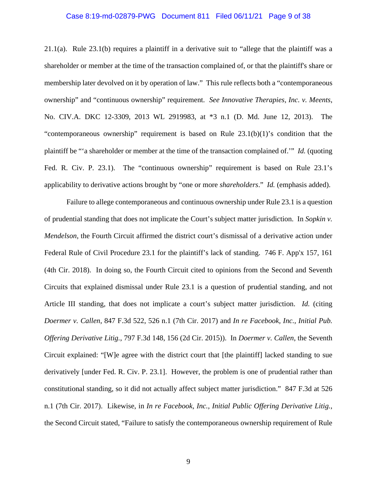# Case 8:19-md-02879-PWG Document 811 Filed 06/11/21 Page 9 of 38

21.1(a). Rule 23.1(b) requires a plaintiff in a derivative suit to "allege that the plaintiff was a shareholder or member at the time of the transaction complained of, or that the plaintiff's share or membership later devolved on it by operation of law." This rule reflects both a "contemporaneous ownership" and "continuous ownership" requirement. *See Innovative Therapies, Inc. v. Meents*, No. CIV.A. DKC 12-3309, 2013 WL 2919983, at \*3 n.1 (D. Md. June 12, 2013). The "contemporaneous ownership" requirement is based on Rule 23.1(b)(1)'s condition that the plaintiff be "'a shareholder or member at the time of the transaction complained of.'" *Id.* (quoting Fed. R. Civ. P. 23.1). The "continuous ownership" requirement is based on Rule 23.1's applicability to derivative actions brought by "one or more *shareholders*." *Id.* (emphasis added).

Failure to allege contemporaneous and continuous ownership under Rule 23.1 is a question of prudential standing that does not implicate the Court's subject matter jurisdiction. In *Sopkin v. Mendelson*, the Fourth Circuit affirmed the district court's dismissal of a derivative action under Federal Rule of Civil Procedure 23.1 for the plaintiff's lack of standing. 746 F. App'x 157, 161 (4th Cir. 2018). In doing so, the Fourth Circuit cited to opinions from the Second and Seventh Circuits that explained dismissal under Rule 23.1 is a question of prudential standing, and not Article III standing, that does not implicate a court's subject matter jurisdiction. *Id.* (citing *Doermer v. Callen*, 847 F.3d 522, 526 n.1 (7th Cir. 2017) and *In re Facebook, Inc., Initial Pub. Offering Derivative Litig.*, 797 F.3d 148, 156 (2d Cir. 2015)). In *Doermer v. Callen*, the Seventh Circuit explained: "[W]e agree with the district court that [the plaintiff] lacked standing to sue derivatively [under Fed. R. Civ. P. 23.1]. However, the problem is one of prudential rather than constitutional standing, so it did not actually affect subject matter jurisdiction." 847 F.3d at 526 n.1 (7th Cir. 2017). Likewise, in *In re Facebook, Inc., Initial Public Offering Derivative Litig.*, the Second Circuit stated, "Failure to satisfy the contemporaneous ownership requirement of Rule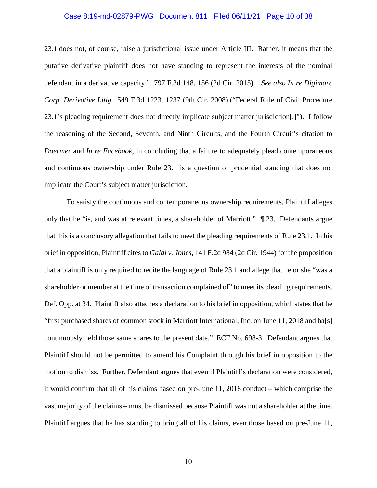# Case 8:19-md-02879-PWG Document 811 Filed 06/11/21 Page 10 of 38

23.1 does not, of course, raise a jurisdictional issue under Article III. Rather, it means that the putative derivative plaintiff does not have standing to represent the interests of the nominal defendant in a derivative capacity." 797 F.3d 148, 156 (2d Cir. 2015). *See also In re Digimarc Corp. Derivative Litig.*, 549 F.3d 1223, 1237 (9th Cir. 2008) ("Federal Rule of Civil Procedure 23.1's pleading requirement does not directly implicate subject matter jurisdiction[.]"). I follow the reasoning of the Second, Seventh, and Ninth Circuits, and the Fourth Circuit's citation to *Doermer* and *In re Facebook*, in concluding that a failure to adequately plead contemporaneous and continuous ownership under Rule 23.1 is a question of prudential standing that does not implicate the Court's subject matter jurisdiction.

To satisfy the continuous and contemporaneous ownership requirements, Plaintiff alleges only that he "is, and was at relevant times, a shareholder of Marriott." ¶ 23. Defendants argue that this is a conclusory allegation that fails to meet the pleading requirements of Rule 23.1. In his brief in opposition, Plaintiff cites to *Galdi v. Jones*, 141 F.2d 984 (2d Cir. 1944) for the proposition that a plaintiff is only required to recite the language of Rule 23.1 and allege that he or she "was a shareholder or member at the time of transaction complained of" to meet its pleading requirements. Def. Opp. at 34. Plaintiff also attaches a declaration to his brief in opposition, which states that he "first purchased shares of common stock in Marriott International, Inc. on June 11, 2018 and ha[s] continuously held those same shares to the present date." ECF No. 698-3. Defendant argues that Plaintiff should not be permitted to amend his Complaint through his brief in opposition to the motion to dismiss. Further, Defendant argues that even if Plaintiff's declaration were considered, it would confirm that all of his claims based on pre-June 11, 2018 conduct – which comprise the vast majority of the claims – must be dismissed because Plaintiff was not a shareholder at the time. Plaintiff argues that he has standing to bring all of his claims, even those based on pre-June 11,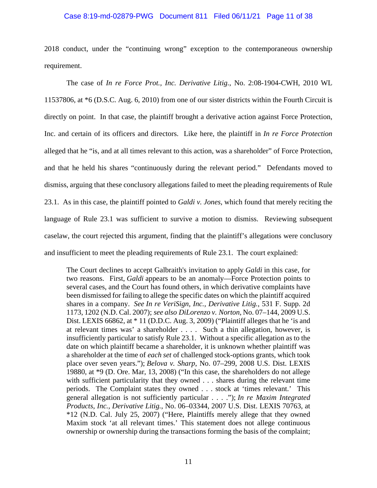# Case 8:19-md-02879-PWG Document 811 Filed 06/11/21 Page 11 of 38

2018 conduct, under the "continuing wrong" exception to the contemporaneous ownership requirement.

The case of *In re Force Prot., Inc. Derivative Litig.*, No. 2:08-1904-CWH, 2010 WL 11537806, at \*6 (D.S.C. Aug. 6, 2010) from one of our sister districts within the Fourth Circuit is directly on point. In that case, the plaintiff brought a derivative action against Force Protection, Inc. and certain of its officers and directors. Like here, the plaintiff in *In re Force Protection* alleged that he "is, and at all times relevant to this action, was a shareholder" of Force Protection, and that he held his shares "continuously during the relevant period." Defendants moved to dismiss, arguing that these conclusory allegations failed to meet the pleading requirements of Rule 23.1. As in this case, the plaintiff pointed to *Galdi v. Jones*, which found that merely reciting the language of Rule 23.1 was sufficient to survive a motion to dismiss. Reviewing subsequent caselaw, the court rejected this argument, finding that the plaintiff's allegations were conclusory and insufficient to meet the pleading requirements of Rule 23.1. The court explained:

The Court declines to accept Galbraith's invitation to apply *Galdi* in this case, for two reasons. First, *Galdi* appears to be an anomaly—Force Protection points to several cases, and the Court has found others, in which derivative complaints have been dismissed for failing to allege the specific dates on which the plaintiff acquired shares in a company. *See In re VeriSign, Inc., Derivative Litig.*, 531 F. Supp. 2d 1173, 1202 (N.D. Cal. 2007); *see also DiLorenzo v. Norton*, No. 07–144, 2009 U.S. Dist. LEXIS 66862, at \* 11 (D.D.C. Aug. 3, 2009) ("Plaintiff alleges that he 'is and at relevant times was' a shareholder . . . . Such a thin allegation, however, is insufficiently particular to satisfy Rule 23.1. Without a specific allegation as to the date on which plaintiff became a shareholder, it is unknown whether plaintiff was a shareholder at the time of *each set* of challenged stock-options grants, which took place over seven years."); *Belova v. Sharp*, No. 07–299, 2008 U.S. Dist. LEXIS 19880, at \*9 (D. Ore. Mar, 13, 2008) ("In this case, the shareholders do not allege with sufficient particularity that they owned . . . shares during the relevant time periods. The Complaint states they owned . . . stock at 'times relevant.' This general allegation is not sufficiently particular . . . ."); *In re Maxim Integrated Products, Inc., Derivative Litig.*, No. 06–03344, 2007 U.S. Dist. LEXIS 70763, at \*12 (N.D. Cal. July 25, 2007) ("Here, Plaintiffs merely allege that they owned Maxim stock 'at all relevant times.' This statement does not allege continuous ownership or ownership during the transactions forming the basis of the complaint;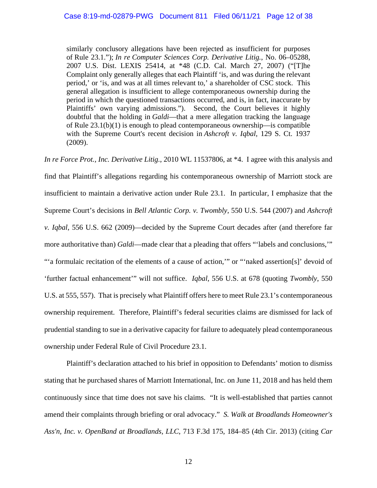similarly conclusory allegations have been rejected as insufficient for purposes of Rule 23.1."); *In re Computer Sciences Corp. Derivative Litig.*, No. 06–05288, 2007 U.S. Dist. LEXIS 25414, at \*48 (C.D. Cal. March 27, 2007) ("[T]he Complaint only generally alleges that each Plaintiff 'is, and was during the relevant period,' or 'is, and was at all times relevant to,' a shareholder of CSC stock. This general allegation is insufficient to allege contemporaneous ownership during the period in which the questioned transactions occurred, and is, in fact, inaccurate by Plaintiffs' own varying admissions."). Second, the Court believes it highly doubtful that the holding in *Galdi*—that a mere allegation tracking the language of Rule 23.1(b)(1) is enough to plead contemporaneous ownership—is compatible with the Supreme Court's recent decision in *Ashcroft v. Iqbal*, 129 S. Ct. 1937 (2009).

*In re Force Prot., Inc. Derivative Litig.*, 2010 WL 11537806, at \*4. I agree with this analysis and find that Plaintiff's allegations regarding his contemporaneous ownership of Marriott stock are insufficient to maintain a derivative action under Rule 23.1. In particular, I emphasize that the Supreme Court's decisions in *Bell Atlantic Corp. v. Twombly*, 550 U.S. 544 (2007) and *Ashcroft v. Iqbal*, 556 U.S. 662 (2009)—decided by the Supreme Court decades after (and therefore far more authoritative than) *Galdi*—made clear that a pleading that offers "'labels and conclusions," "" a formulaic recitation of the elements of a cause of action," or ""naked assertion[s]" devoid of 'further factual enhancement'" will not suffice. *Iqbal*, 556 U.S. at 678 (quoting *Twombly*, 550 U.S. at 555, 557). That is precisely what Plaintiff offers here to meet Rule 23.1's contemporaneous ownership requirement. Therefore, Plaintiff's federal securities claims are dismissed for lack of prudential standing to sue in a derivative capacity for failure to adequately plead contemporaneous ownership under Federal Rule of Civil Procedure 23.1.

Plaintiff's declaration attached to his brief in opposition to Defendants' motion to dismiss stating that he purchased shares of Marriott International, Inc. on June 11, 2018 and has held them continuously since that time does not save his claims. "It is well-established that parties cannot amend their complaints through briefing or oral advocacy." *S. Walk at Broadlands Homeowner's Ass'n, Inc. v. OpenBand at Broadlands, LLC*, 713 F.3d 175, 184–85 (4th Cir. 2013) (citing *Car*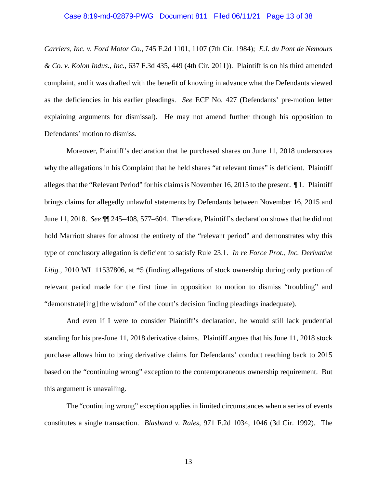# Case 8:19-md-02879-PWG Document 811 Filed 06/11/21 Page 13 of 38

*Carriers, Inc. v. Ford Motor Co.*, 745 F.2d 1101, 1107 (7th Cir. 1984); *E.I. du Pont de Nemours & Co. v. Kolon Indus., Inc.*, 637 F.3d 435, 449 (4th Cir. 2011)). Plaintiff is on his third amended complaint, and it was drafted with the benefit of knowing in advance what the Defendants viewed as the deficiencies in his earlier pleadings. *See* ECF No. 427 (Defendants' pre-motion letter explaining arguments for dismissal). He may not amend further through his opposition to Defendants' motion to dismiss.

Moreover, Plaintiff's declaration that he purchased shares on June 11, 2018 underscores why the allegations in his Complaint that he held shares "at relevant times" is deficient. Plaintiff alleges that the "Relevant Period" for his claims is November 16, 2015 to the present.  $\P$ 1. Plaintiff brings claims for allegedly unlawful statements by Defendants between November 16, 2015 and June 11, 2018. *See* ¶¶ 245–408, 577–604. Therefore, Plaintiff's declaration shows that he did not hold Marriott shares for almost the entirety of the "relevant period" and demonstrates why this type of conclusory allegation is deficient to satisfy Rule 23.1. *In re Force Prot., Inc. Derivative Litig.*, 2010 WL 11537806, at \*5 (finding allegations of stock ownership during only portion of relevant period made for the first time in opposition to motion to dismiss "troubling" and "demonstrate[ing] the wisdom" of the court's decision finding pleadings inadequate).

And even if I were to consider Plaintiff's declaration, he would still lack prudential standing for his pre-June 11, 2018 derivative claims. Plaintiff argues that his June 11, 2018 stock purchase allows him to bring derivative claims for Defendants' conduct reaching back to 2015 based on the "continuing wrong" exception to the contemporaneous ownership requirement. But this argument is unavailing.

The "continuing wrong" exception applies in limited circumstances when a series of events constitutes a single transaction. *Blasband v. Rales*, 971 F.2d 1034, 1046 (3d Cir. 1992). The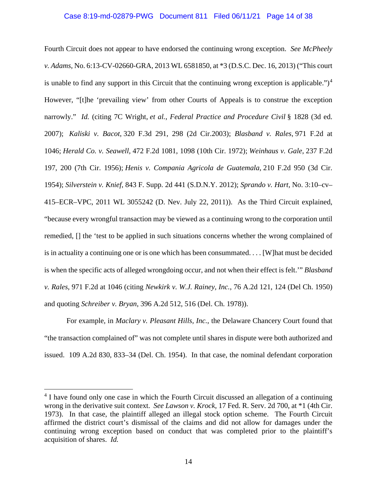# Case 8:19-md-02879-PWG Document 811 Filed 06/11/21 Page 14 of 38

Fourth Circuit does not appear to have endorsed the continuing wrong exception. *See McPheely v. Adams*, No. 6:13-CV-02660-GRA, 2013 WL 6581850, at \*3 (D.S.C. Dec. 16, 2013) ("This court is unable to find any support in this Circuit that the continuing wrong exception is applicable." $)^4$ However, "[t]he 'prevailing view' from other Courts of Appeals is to construe the exception narrowly." *Id.* (citing 7C Wright, *et al.*, *Federal Practice and Procedure Civil* § 1828 (3d ed. 2007); *Kaliski v. Bacot*, 320 F.3d 291, 298 (2d Cir.2003); *Blasband v. Rales*, 971 F.2d at 1046; *Herald Co. v. Seawell,* 472 F.2d 1081, 1098 (10th Cir. 1972); *Weinhaus v. Gale*, 237 F.2d 197, 200 (7th Cir. 1956); *Henis v. Compania Agricola de Guatemala*, 210 F.2d 950 (3d Cir. 1954); *Silverstein v. Knief*, 843 F. Supp. 2d 441 (S.D.N.Y. 2012); *Sprando v. Hart,* No. 3:10–cv– 415–ECR–VPC, 2011 WL 3055242 (D. Nev. July 22, 2011)). As the Third Circuit explained, "because every wrongful transaction may be viewed as a continuing wrong to the corporation until remedied, [] the 'test to be applied in such situations concerns whether the wrong complained of is in actuality a continuing one or is one which has been consummated. . . . [W]hat must be decided is when the specific acts of alleged wrongdoing occur, and not when their effect is felt.'" *Blasband v. Rales*, 971 F.2d at 1046 (citing *Newkirk v. W.J. Rainey, Inc.*, 76 A.2d 121, 124 (Del Ch. 1950) and quoting *Schreiber v. Bryan*, 396 A.2d 512, 516 (Del. Ch. 1978)).

For example, in *Maclary v. Pleasant Hills, Inc.*, the Delaware Chancery Court found that "the transaction complained of" was not complete until shares in dispute were both authorized and issued. 109 A.2d 830, 833–34 (Del. Ch. 1954). In that case, the nominal defendant corporation

<sup>&</sup>lt;sup>4</sup> I have found only one case in which the Fourth Circuit discussed an allegation of a continuing wrong in the derivative suit context. *See Lawson v. Krock*, 17 Fed. R. Serv. 2d 700, at \*1 (4th Cir. 1973). In that case, the plaintiff alleged an illegal stock option scheme. The Fourth Circuit affirmed the district court's dismissal of the claims and did not allow for damages under the continuing wrong exception based on conduct that was completed prior to the plaintiff's acquisition of shares. *Id.*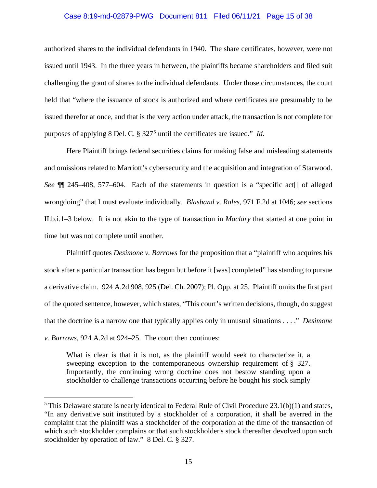# Case 8:19-md-02879-PWG Document 811 Filed 06/11/21 Page 15 of 38

authorized shares to the individual defendants in 1940. The share certificates, however, were not issued until 1943. In the three years in between, the plaintiffs became shareholders and filed suit challenging the grant of shares to the individual defendants. Under those circumstances, the court held that "where the issuance of stock is authorized and where certificates are presumably to be issued therefor at once, and that is the very action under attack, the transaction is not complete for purposes of applying 8 Del. C. § 327<sup>5</sup> until the certificates are issued." *Id.*

Here Plaintiff brings federal securities claims for making false and misleading statements and omissions related to Marriott's cybersecurity and the acquisition and integration of Starwood. *See* ¶¶ 245–408, 577–604. Each of the statements in question is a "specific act[] of alleged wrongdoing" that I must evaluate individually. *Blasband v. Rales*, 971 F.2d at 1046; *see* sections II.b.i.1–3 below. It is not akin to the type of transaction in *Maclary* that started at one point in time but was not complete until another.

Plaintiff quotes *Desimone v. Barrows* for the proposition that a "plaintiff who acquires his stock after a particular transaction has begun but before it [was] completed" has standing to pursue a derivative claim. 924 A.2d 908, 925 (Del. Ch. 2007); Pl. Opp. at 25. Plaintiff omits the first part of the quoted sentence, however, which states, "This court's written decisions, though, do suggest that the doctrine is a narrow one that typically applies only in unusual situations . . . ." *Desimone v. Barrows*, 924 A.2d at 924–25. The court then continues:

What is clear is that it is not, as the plaintiff would seek to characterize it, a sweeping exception to the contemporaneous ownership requirement of § 327. Importantly, the continuing wrong doctrine does not bestow standing upon a stockholder to challenge transactions occurring before he bought his stock simply

 $5$  This Delaware statute is nearly identical to Federal Rule of Civil Procedure 23.1(b)(1) and states, "In any derivative suit instituted by a stockholder of a corporation, it shall be averred in the complaint that the plaintiff was a stockholder of the corporation at the time of the transaction of which such stockholder complains or that such stockholder's stock thereafter devolved upon such stockholder by operation of law." 8 Del. C. § 327.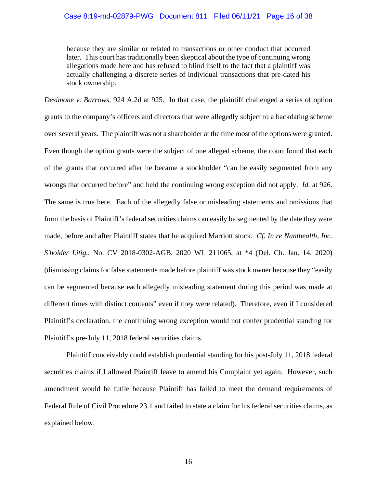because they are similar or related to transactions or other conduct that occurred later. This court has traditionally been skeptical about the type of continuing wrong allegations made here and has refused to blind itself to the fact that a plaintiff was actually challenging a discrete series of individual transactions that pre-dated his stock ownership.

*Desimone v. Barrows*, 924 A.2d at 925. In that case, the plaintiff challenged a series of option grants to the company's officers and directors that were allegedly subject to a backdating scheme over several years. The plaintiff was not a shareholder at the time most of the options were granted. Even though the option grants were the subject of one alleged scheme, the court found that each of the grants that occurred after he became a stockholder "can be easily segmented from any wrongs that occurred before" and held the continuing wrong exception did not apply. *Id.* at 926. The same is true here. Each of the allegedly false or misleading statements and omissions that form the basis of Plaintiff's federal securities claims can easily be segmented by the date they were made, before and after Plaintiff states that he acquired Marriott stock. *Cf. In re Nanthealth, Inc. S'holder Litig.*, No. CV 2018-0302-AGB, 2020 WL 211065, at \*4 (Del. Ch. Jan. 14, 2020) (dismissing claims for false statements made before plaintiff was stock owner because they "easily can be segmented because each allegedly misleading statement during this period was made at different times with distinct contents" even if they were related). Therefore, even if I considered Plaintiff's declaration, the continuing wrong exception would not confer prudential standing for Plaintiff's pre-July 11, 2018 federal securities claims.

Plaintiff conceivably could establish prudential standing for his post-July 11, 2018 federal securities claims if I allowed Plaintiff leave to amend his Complaint yet again. However, such amendment would be futile because Plaintiff has failed to meet the demand requirements of Federal Rule of Civil Procedure 23.1 and failed to state a claim for his federal securities claims, as explained below.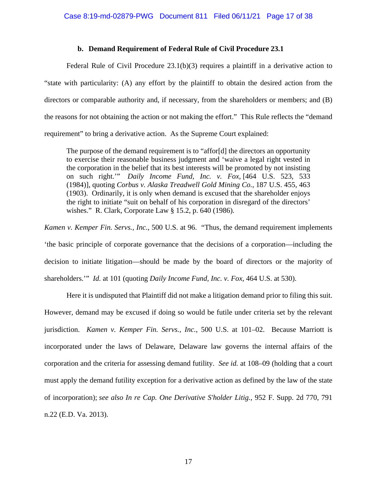# **b. Demand Requirement of Federal Rule of Civil Procedure 23.1**

Federal Rule of Civil Procedure  $23.1(b)(3)$  requires a plaintiff in a derivative action to "state with particularity: (A) any effort by the plaintiff to obtain the desired action from the directors or comparable authority and, if necessary, from the shareholders or members; and (B) the reasons for not obtaining the action or not making the effort." This Rule reflects the "demand requirement" to bring a derivative action. As the Supreme Court explained:

The purpose of the demand requirement is to "affor[d] the directors an opportunity to exercise their reasonable business judgment and 'waive a legal right vested in the corporation in the belief that its best interests will be promoted by not insisting on such right.'" *Daily Income Fund, Inc. v. Fox*, [464 U.S. 523, 533 (1984)], quoting *Corbus v. Alaska Treadwell Gold Mining Co.*, 187 U.S. 455, 463 (1903). Ordinarily, it is only when demand is excused that the shareholder enjoys the right to initiate "suit on behalf of his corporation in disregard of the directors' wishes." R. Clark, Corporate Law § 15.2, p. 640 (1986).

*Kamen v. Kemper Fin. Servs., Inc.*, 500 U.S. at 96. "Thus, the demand requirement implements 'the basic principle of corporate governance that the decisions of a corporation—including the decision to initiate litigation—should be made by the board of directors or the majority of shareholders.'" *Id.* at 101 (quoting *Daily Income Fund, Inc. v. Fox*, 464 U.S. at 530).

Here it is undisputed that Plaintiff did not make a litigation demand prior to filing this suit. However, demand may be excused if doing so would be futile under criteria set by the relevant jurisdiction. *Kamen v. Kemper Fin. Servs., Inc.*, 500 U.S. at 101–02. Because Marriott is incorporated under the laws of Delaware, Delaware law governs the internal affairs of the corporation and the criteria for assessing demand futility. *See id.* at 108–09 (holding that a court must apply the demand futility exception for a derivative action as defined by the law of the state of incorporation); *see also In re Cap. One Derivative S'holder Litig.*, 952 F. Supp. 2d 770, 791 n.22 (E.D. Va. 2013).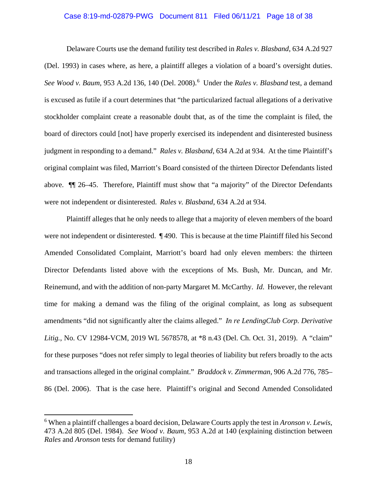# Case 8:19-md-02879-PWG Document 811 Filed 06/11/21 Page 18 of 38

Delaware Courts use the demand futility test described in *Rales v. Blasband*, 634 A.2d 927 (Del. 1993) in cases where, as here, a plaintiff alleges a violation of a board's oversight duties. *See Wood v. Baum*, 953 A.2d 136, 140 (Del. 2008). 6 Under the *Rales v. Blasband* test, a demand is excused as futile if a court determines that "the particularized factual allegations of a derivative stockholder complaint create a reasonable doubt that, as of the time the complaint is filed, the board of directors could [not] have properly exercised its independent and disinterested business judgment in responding to a demand." *Rales v. Blasband*, 634 A.2d at 934. At the time Plaintiff's original complaint was filed, Marriott's Board consisted of the thirteen Director Defendants listed above. ¶¶ 26–45. Therefore, Plaintiff must show that "a majority" of the Director Defendants were not independent or disinterested. *Rales v. Blasband*, 634 A.2d at 934.

Plaintiff alleges that he only needs to allege that a majority of eleven members of the board were not independent or disinterested. ¶ 490. This is because at the time Plaintiff filed his Second Amended Consolidated Complaint, Marriott's board had only eleven members: the thirteen Director Defendants listed above with the exceptions of Ms. Bush, Mr. Duncan, and Mr. Reinemund, and with the addition of non-party Margaret M. McCarthy. *Id*. However, the relevant time for making a demand was the filing of the original complaint, as long as subsequent amendments "did not significantly alter the claims alleged." *In re LendingClub Corp. Derivative Litig.*, No. CV 12984-VCM, 2019 WL 5678578, at \*8 n.43 (Del. Ch. Oct. 31, 2019). A "claim" for these purposes "does not refer simply to legal theories of liability but refers broadly to the acts and transactions alleged in the original complaint." *Braddock v. Zimmerman*, 906 A.2d 776, 785– 86 (Del. 2006). That is the case here. Plaintiff's original and Second Amended Consolidated

<sup>6</sup> When a plaintiff challenges a board decision, Delaware Courts apply the test in *Aronson v. Lewis*, 473 A.2d 805 (Del. 1984). *See Wood v. Baum*, 953 A.2d at 140 (explaining distinction between *Rales* and *Aronson* tests for demand futility)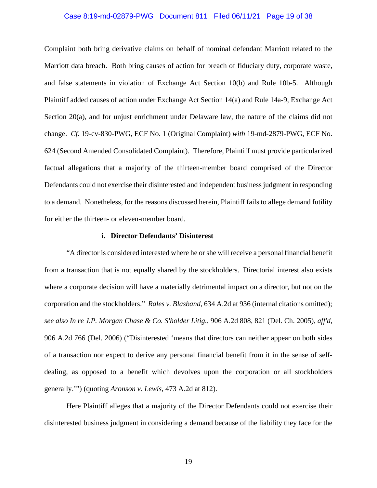# Case 8:19-md-02879-PWG Document 811 Filed 06/11/21 Page 19 of 38

Complaint both bring derivative claims on behalf of nominal defendant Marriott related to the Marriott data breach. Both bring causes of action for breach of fiduciary duty, corporate waste, and false statements in violation of Exchange Act Section 10(b) and Rule 10b-5. Although Plaintiff added causes of action under Exchange Act Section 14(a) and Rule 14a-9, Exchange Act Section 20(a), and for unjust enrichment under Delaware law, the nature of the claims did not change. *Cf.* 19-cv-830-PWG, ECF No. 1 (Original Complaint) *with* 19-md-2879-PWG, ECF No. 624 (Second Amended Consolidated Complaint). Therefore, Plaintiff must provide particularized factual allegations that a majority of the thirteen-member board comprised of the Director Defendants could not exercise their disinterested and independent business judgment in responding to a demand. Nonetheless, for the reasons discussed herein, Plaintiff fails to allege demand futility for either the thirteen- or eleven-member board.

### **i. Director Defendants' Disinterest**

"A director is considered interested where he or she will receive a personal financial benefit from a transaction that is not equally shared by the stockholders. Directorial interest also exists where a corporate decision will have a materially detrimental impact on a director, but not on the corporation and the stockholders." *Rales v. Blasband*, 634 A.2d at 936 (internal citations omitted); *see also In re J.P. Morgan Chase & Co. S'holder Litig.*, 906 A.2d 808, 821 (Del. Ch. 2005), *aff'd*, 906 A.2d 766 (Del. 2006) ("Disinterested 'means that directors can neither appear on both sides of a transaction nor expect to derive any personal financial benefit from it in the sense of selfdealing, as opposed to a benefit which devolves upon the corporation or all stockholders generally.'") (quoting *Aronson v. Lewis*, 473 A.2d at 812).

Here Plaintiff alleges that a majority of the Director Defendants could not exercise their disinterested business judgment in considering a demand because of the liability they face for the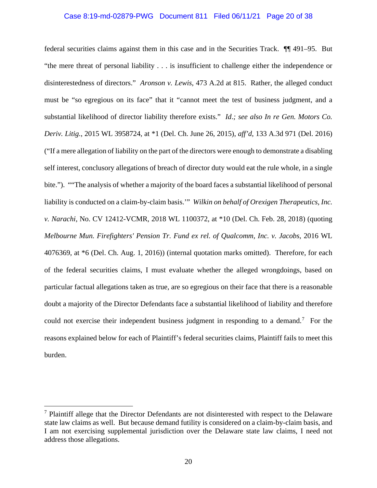# Case 8:19-md-02879-PWG Document 811 Filed 06/11/21 Page 20 of 38

federal securities claims against them in this case and in the Securities Track. ¶¶ 491–95. But "the mere threat of personal liability . . . is insufficient to challenge either the independence or disinterestedness of directors." *Aronson v. Lewis*, 473 A.2d at 815. Rather, the alleged conduct must be "so egregious on its face" that it "cannot meet the test of business judgment, and a substantial likelihood of director liability therefore exists." *Id*.*; see also In re Gen. Motors Co. Deriv. Litig.*, 2015 WL 3958724, at \*1 (Del. Ch. June 26, 2015), *aff'd*, 133 A.3d 971 (Del. 2016) ("If a mere allegation of liability on the part of the directors were enough to demonstrate a disabling self interest, conclusory allegations of breach of director duty would eat the rule whole, in a single bite."). ""The analysis of whether a majority of the board faces a substantial likelihood of personal liability is conducted on a claim-by-claim basis.'" *Wilkin on behalf of Orexigen Therapeutics, Inc. v. Narachi*, No. CV 12412-VCMR, 2018 WL 1100372, at \*10 (Del. Ch. Feb. 28, 2018) (quoting *Melbourne Mun. Firefighters' Pension Tr. Fund ex rel. of Qualcomm, Inc. v. Jacobs*, 2016 WL 4076369, at \*6 (Del. Ch. Aug. 1, 2016)) (internal quotation marks omitted). Therefore, for each of the federal securities claims, I must evaluate whether the alleged wrongdoings, based on particular factual allegations taken as true, are so egregious on their face that there is a reasonable doubt a majority of the Director Defendants face a substantial likelihood of liability and therefore could not exercise their independent business judgment in responding to a demand.<sup>7</sup> For the reasons explained below for each of Plaintiff's federal securities claims, Plaintiff fails to meet this burden.

 $<sup>7</sup>$  Plaintiff allege that the Director Defendants are not disinterested with respect to the Delaware</sup> state law claims as well. But because demand futility is considered on a claim-by-claim basis, and I am not exercising supplemental jurisdiction over the Delaware state law claims, I need not address those allegations.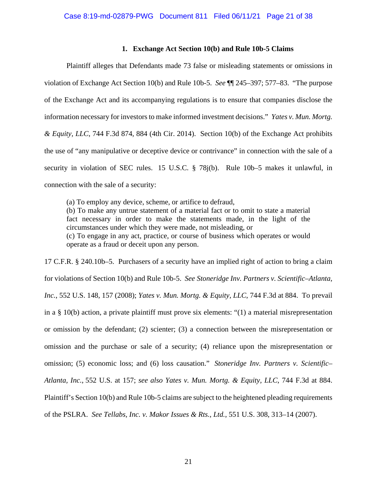# **1. Exchange Act Section 10(b) and Rule 10b-5 Claims**

Plaintiff alleges that Defendants made 73 false or misleading statements or omissions in violation of Exchange Act Section 10(b) and Rule 10b-5. *See* ¶¶ 245–397; 577–83. "The purpose of the Exchange Act and its accompanying regulations is to ensure that companies disclose the information necessary for investors to make informed investment decisions." *Yates v. Mun. Mortg. & Equity, LLC*, 744 F.3d 874, 884 (4th Cir. 2014). Section 10(b) of the Exchange Act prohibits the use of "any manipulative or deceptive device or contrivance" in connection with the sale of a security in violation of SEC rules. 15 U.S.C. § 78j(b). Rule 10b–5 makes it unlawful, in connection with the sale of a security:

(a) To employ any device, scheme, or artifice to defraud, (b) To make any untrue statement of a material fact or to omit to state a material fact necessary in order to make the statements made, in the light of the circumstances under which they were made, not misleading, or (c) To engage in any act, practice, or course of business which operates or would operate as a fraud or deceit upon any person.

17 C.F.R. § 240.10b–5. Purchasers of a security have an implied right of action to bring a claim for violations of Section 10(b) and Rule 10b-5. *See Stoneridge Inv. Partners v. Scientific–Atlanta, Inc.*, 552 U.S. 148, 157 (2008); *Yates v. Mun. Mortg. & Equity, LLC*, 744 F.3d at 884. To prevail in a § 10(b) action, a private plaintiff must prove six elements: "(1) a material misrepresentation or omission by the defendant; (2) scienter; (3) a connection between the misrepresentation or omission and the purchase or sale of a security; (4) reliance upon the misrepresentation or omission; (5) economic loss; and (6) loss causation." *Stoneridge Inv. Partners v. Scientific– Atlanta, Inc.*, 552 U.S. at 157; *see also Yates v. Mun. Mortg. & Equity, LLC*, 744 F.3d at 884. Plaintiff's Section 10(b) and Rule 10b-5 claims are subject to the heightened pleading requirements of the PSLRA. *See Tellabs, Inc. v. Makor Issues & Rts., Ltd.*, 551 U.S. 308, 313–14 (2007).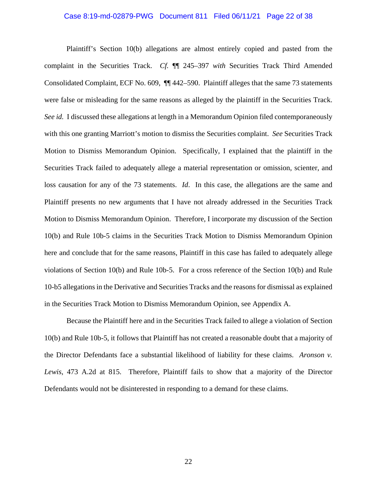# Case 8:19-md-02879-PWG Document 811 Filed 06/11/21 Page 22 of 38

Plaintiff's Section 10(b) allegations are almost entirely copied and pasted from the complaint in the Securities Track. *Cf.* ¶¶ 245–397 *with* Securities Track Third Amended Consolidated Complaint, ECF No. 609, ¶¶ 442–590. Plaintiff alleges that the same 73 statements were false or misleading for the same reasons as alleged by the plaintiff in the Securities Track. *See id.* I discussed these allegations at length in a Memorandum Opinion filed contemporaneously with this one granting Marriott's motion to dismiss the Securities complaint. *See* Securities Track Motion to Dismiss Memorandum Opinion. Specifically, I explained that the plaintiff in the Securities Track failed to adequately allege a material representation or omission, scienter, and loss causation for any of the 73 statements. *Id*. In this case, the allegations are the same and Plaintiff presents no new arguments that I have not already addressed in the Securities Track Motion to Dismiss Memorandum Opinion. Therefore, I incorporate my discussion of the Section 10(b) and Rule 10b-5 claims in the Securities Track Motion to Dismiss Memorandum Opinion here and conclude that for the same reasons, Plaintiff in this case has failed to adequately allege violations of Section 10(b) and Rule 10b-5. For a cross reference of the Section 10(b) and Rule 10-b5 allegations in the Derivative and Securities Tracks and the reasons for dismissal as explained in the Securities Track Motion to Dismiss Memorandum Opinion, see Appendix A.

Because the Plaintiff here and in the Securities Track failed to allege a violation of Section 10(b) and Rule 10b-5, it follows that Plaintiff has not created a reasonable doubt that a majority of the Director Defendants face a substantial likelihood of liability for these claims. *Aronson v. Lewis*, 473 A.2d at 815. Therefore, Plaintiff fails to show that a majority of the Director Defendants would not be disinterested in responding to a demand for these claims.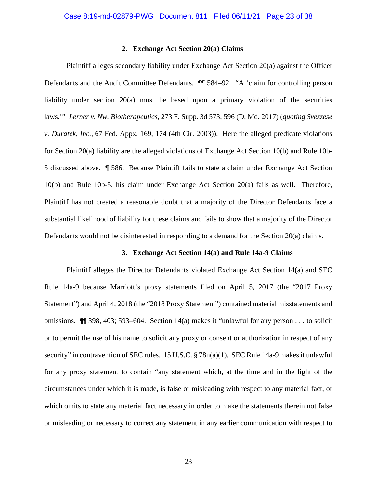# **2. Exchange Act Section 20(a) Claims**

Plaintiff alleges secondary liability under Exchange Act Section 20(a) against the Officer Defendants and the Audit Committee Defendants. ¶¶ 584–92. "A 'claim for controlling person liability under section 20(a) must be based upon a primary violation of the securities laws.'" *Lerner v. Nw. Biotherapeutics*, 273 F. Supp. 3d 573, 596 (D. Md. 2017) (*quoting Svezzese v. Duratek, Inc.*, 67 Fed. Appx. 169, 174 (4th Cir. 2003)). Here the alleged predicate violations for Section 20(a) liability are the alleged violations of Exchange Act Section 10(b) and Rule 10b-5 discussed above. ¶ 586. Because Plaintiff fails to state a claim under Exchange Act Section 10(b) and Rule 10b-5, his claim under Exchange Act Section 20(a) fails as well. Therefore, Plaintiff has not created a reasonable doubt that a majority of the Director Defendants face a substantial likelihood of liability for these claims and fails to show that a majority of the Director Defendants would not be disinterested in responding to a demand for the Section 20(a) claims.

### **3. Exchange Act Section 14(a) and Rule 14a-9 Claims**

Plaintiff alleges the Director Defendants violated Exchange Act Section 14(a) and SEC Rule 14a-9 because Marriott's proxy statements filed on April 5, 2017 (the "2017 Proxy Statement") and April 4, 2018 (the "2018 Proxy Statement") contained material misstatements and omissions. ¶¶ 398, 403; 593–604. Section 14(a) makes it "unlawful for any person . . . to solicit or to permit the use of his name to solicit any proxy or consent or authorization in respect of any security" in contravention of SEC rules. 15 U.S.C. § 78n(a)(1). SEC Rule 14a-9 makes it unlawful for any proxy statement to contain "any statement which, at the time and in the light of the circumstances under which it is made, is false or misleading with respect to any material fact, or which omits to state any material fact necessary in order to make the statements therein not false or misleading or necessary to correct any statement in any earlier communication with respect to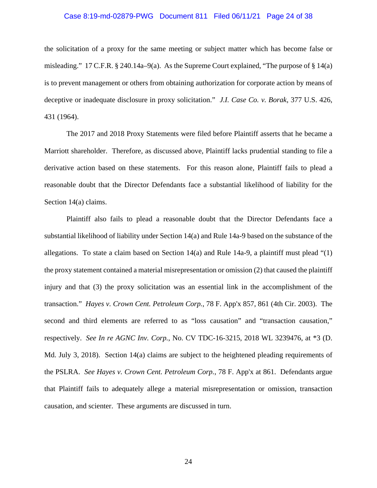# Case 8:19-md-02879-PWG Document 811 Filed 06/11/21 Page 24 of 38

the solicitation of a proxy for the same meeting or subject matter which has become false or misleading." 17 C.F.R.  $\S$  240.14a–9(a). As the Supreme Court explained, "The purpose of  $\S$  14(a) is to prevent management or others from obtaining authorization for corporate action by means of deceptive or inadequate disclosure in proxy solicitation." *J.I. Case Co. v. Borak*, 377 U.S. 426, 431 (1964).

The 2017 and 2018 Proxy Statements were filed before Plaintiff asserts that he became a Marriott shareholder. Therefore, as discussed above, Plaintiff lacks prudential standing to file a derivative action based on these statements. For this reason alone, Plaintiff fails to plead a reasonable doubt that the Director Defendants face a substantial likelihood of liability for the Section 14(a) claims.

Plaintiff also fails to plead a reasonable doubt that the Director Defendants face a substantial likelihood of liability under Section 14(a) and Rule 14a-9 based on the substance of the allegations. To state a claim based on Section  $14(a)$  and Rule 14a-9, a plaintiff must plead "(1) the proxy statement contained a material misrepresentation or omission (2) that caused the plaintiff injury and that (3) the proxy solicitation was an essential link in the accomplishment of the transaction." *Hayes v. Crown Cent. Petroleum Corp.*, 78 F. App'x 857, 861 (4th Cir. 2003). The second and third elements are referred to as "loss causation" and "transaction causation," respectively. *See In re AGNC Inv. Corp.*, No. CV TDC-16-3215, 2018 WL 3239476, at \*3 (D. Md. July 3, 2018). Section 14(a) claims are subject to the heightened pleading requirements of the PSLRA. *See Hayes v. Crown Cent. Petroleum Corp.*, 78 F. App'x at 861. Defendants argue that Plaintiff fails to adequately allege a material misrepresentation or omission, transaction causation, and scienter. These arguments are discussed in turn.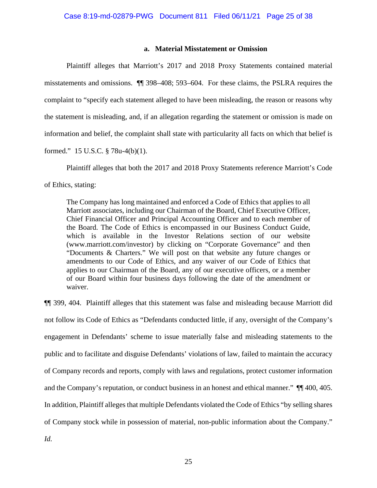# **a. Material Misstatement or Omission**

Plaintiff alleges that Marriott's 2017 and 2018 Proxy Statements contained material misstatements and omissions. ¶¶ 398–408; 593–604. For these claims, the PSLRA requires the complaint to "specify each statement alleged to have been misleading, the reason or reasons why the statement is misleading, and, if an allegation regarding the statement or omission is made on information and belief, the complaint shall state with particularity all facts on which that belief is formed." 15 U.S.C. § 78u-4(b)(1).

Plaintiff alleges that both the 2017 and 2018 Proxy Statements reference Marriott's Code of Ethics, stating:

The Company has long maintained and enforced a Code of Ethics that applies to all Marriott associates, including our Chairman of the Board, Chief Executive Officer, Chief Financial Officer and Principal Accounting Officer and to each member of the Board. The Code of Ethics is encompassed in our Business Conduct Guide, which is available in the Investor Relations section of our website (www.marriott.com/investor) by clicking on "Corporate Governance" and then "Documents & Charters." We will post on that website any future changes or amendments to our Code of Ethics, and any waiver of our Code of Ethics that applies to our Chairman of the Board, any of our executive officers, or a member of our Board within four business days following the date of the amendment or waiver.

¶¶ 399, 404. Plaintiff alleges that this statement was false and misleading because Marriott did not follow its Code of Ethics as "Defendants conducted little, if any, oversight of the Company's engagement in Defendants' scheme to issue materially false and misleading statements to the public and to facilitate and disguise Defendants' violations of law, failed to maintain the accuracy of Company records and reports, comply with laws and regulations, protect customer information and the Company's reputation, or conduct business in an honest and ethical manner." ¶¶ 400, 405. In addition, Plaintiff alleges that multiple Defendants violated the Code of Ethics "by selling shares of Company stock while in possession of material, non-public information about the Company."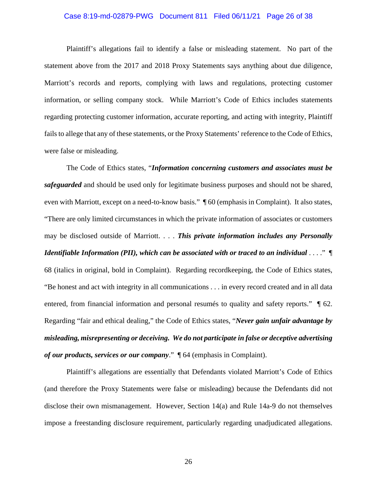# Case 8:19-md-02879-PWG Document 811 Filed 06/11/21 Page 26 of 38

Plaintiff's allegations fail to identify a false or misleading statement. No part of the statement above from the 2017 and 2018 Proxy Statements says anything about due diligence, Marriott's records and reports, complying with laws and regulations, protecting customer information, or selling company stock. While Marriott's Code of Ethics includes statements regarding protecting customer information, accurate reporting, and acting with integrity, Plaintiff fails to allege that any of these statements, or the Proxy Statements' reference to the Code of Ethics, were false or misleading.

The Code of Ethics states, "*Information concerning customers and associates must be safeguarded* and should be used only for legitimate business purposes and should not be shared, even with Marriott, except on a need-to-know basis." ¶ 60 (emphasis in Complaint). It also states, "There are only limited circumstances in which the private information of associates or customers may be disclosed outside of Marriott. . . . *This private information includes any Personally Identifiable Information (PII), which can be associated with or traced to an individual* . . . ." ¶ 68 (italics in original, bold in Complaint). Regarding recordkeeping, the Code of Ethics states, "Be honest and act with integrity in all communications . . . in every record created and in all data entered, from financial information and personal resumes to quality and safety reports."  $\parallel$  62. Regarding "fair and ethical dealing," the Code of Ethics states, "*Never gain unfair advantage by misleading, misrepresenting or deceiving. We do not participate in false or deceptive advertising of our products, services or our company*." ¶ 64 (emphasis in Complaint).

Plaintiff's allegations are essentially that Defendants violated Marriott's Code of Ethics (and therefore the Proxy Statements were false or misleading) because the Defendants did not disclose their own mismanagement. However, Section 14(a) and Rule 14a-9 do not themselves impose a freestanding disclosure requirement, particularly regarding unadjudicated allegations.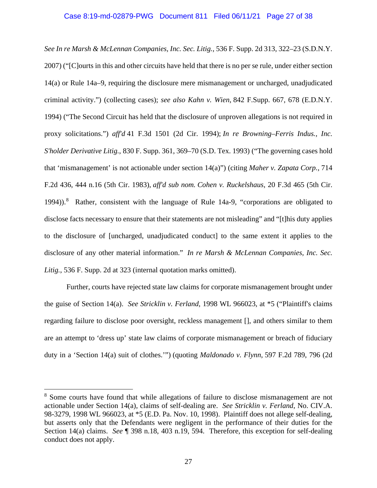# Case 8:19-md-02879-PWG Document 811 Filed 06/11/21 Page 27 of 38

*See In re Marsh & McLennan Companies, Inc. Sec. Litig.*, 536 F. Supp. 2d 313, 322–23 (S.D.N.Y. 2007) ("[C]ourts in this and other circuits have held that there is no per se rule, under either section 14(a) or Rule 14a–9, requiring the disclosure mere mismanagement or uncharged, unadjudicated criminal activity.") (collecting cases); *see also Kahn v. Wien*, 842 F.Supp. 667, 678 (E.D.N.Y. 1994) ("The Second Circuit has held that the disclosure of unproven allegations is not required in proxy solicitations.") *aff'd* 41 F.3d 1501 (2d Cir. 1994); *In re Browning–Ferris Indus., Inc. S'holder Derivative Litig.*, 830 F. Supp. 361, 369–70 (S.D. Tex. 1993) ("The governing cases hold that 'mismanagement' is not actionable under section 14(a)") (citing *Maher v. Zapata Corp.*, 714 F.2d 436, 444 n.16 (5th Cir. 1983), *aff'd sub nom. Cohen v. Ruckelshaus*, 20 F.3d 465 (5th Cir. 1994)).<sup>8</sup> Rather, consistent with the language of Rule 14a-9, "corporations are obligated to disclose facts necessary to ensure that their statements are not misleading" and "[t]his duty applies to the disclosure of [uncharged, unadjudicated conduct] to the same extent it applies to the disclosure of any other material information." *In re Marsh & McLennan Companies, Inc. Sec. Litig.*, 536 F. Supp. 2d at 323 (internal quotation marks omitted).

Further, courts have rejected state law claims for corporate mismanagement brought under the guise of Section 14(a). *See Stricklin v. Ferland*, 1998 WL 966023, at \*5 ("Plaintiff's claims regarding failure to disclose poor oversight, reckless management [], and others similar to them are an attempt to 'dress up' state law claims of corporate mismanagement or breach of fiduciary duty in a 'Section 14(a) suit of clothes.'") (quoting *Maldonado v. Flynn*, 597 F.2d 789, 796 (2d

<sup>8</sup> Some courts have found that while allegations of failure to disclose mismanagement are not actionable under Section 14(a), claims of self-dealing are. *See Stricklin v. Ferland*, No. CIV.A. 98-3279, 1998 WL 966023, at \*5 (E.D. Pa. Nov. 10, 1998). Plaintiff does not allege self-dealing, but asserts only that the Defendants were negligent in the performance of their duties for the Section 14(a) claims. *See* ¶ 398 n.18, 403 n.19, 594. Therefore, this exception for self-dealing conduct does not apply.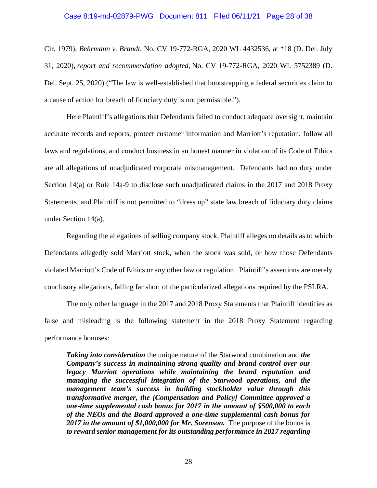### Case 8:19-md-02879-PWG Document 811 Filed 06/11/21 Page 28 of 38

Cir. 1979); *Behrmann v. Brandt*, No. CV 19-772-RGA, 2020 WL 4432536, at \*18 (D. Del. July 31, 2020), *report and recommendation adopted*, No. CV 19-772-RGA, 2020 WL 5752389 (D. Del. Sept. 25, 2020) ("The law is well-established that bootstrapping a federal securities claim to a cause of action for breach of fiduciary duty is not permissible.").

Here Plaintiff's allegations that Defendants failed to conduct adequate oversight, maintain accurate records and reports, protect customer information and Marriott's reputation, follow all laws and regulations, and conduct business in an honest manner in violation of its Code of Ethics are all allegations of unadjudicated corporate mismanagement. Defendants had no duty under Section 14(a) or Rule 14a-9 to disclose such unadjudicated claims in the 2017 and 2018 Proxy Statements, and Plaintiff is not permitted to "dress up" state law breach of fiduciary duty claims under Section 14(a).

Regarding the allegations of selling company stock, Plaintiff alleges no details as to which Defendants allegedly sold Marriott stock, when the stock was sold, or how those Defendants violated Marriott's Code of Ethics or any other law or regulation. Plaintiff's assertions are merely conclusory allegations, falling far short of the particularized allegations required by the PSLRA.

The only other language in the 2017 and 2018 Proxy Statements that Plaintiff identifies as false and misleading is the following statement in the 2018 Proxy Statement regarding performance bonuses:

*Taking into consideration* the unique nature of the Starwood combination and *the Company's success in maintaining strong quality and brand control over our legacy Marriott operations while maintaining the brand reputation and managing the successful integration of the Starwood operations, and the management team's success in building stockholder value through this transformative merger, the [Compensation and Policy] Committee approved a one-time supplemental cash bonus for 2017 in the amount of \$500,000 to each of the NEOs and the Board approved a one-time supplemental cash bonus for 2017 in the amount of \$1,000,000 for Mr. Sorenson.* The purpose of the bonus is *to reward senior management for its outstanding performance in 2017 regarding*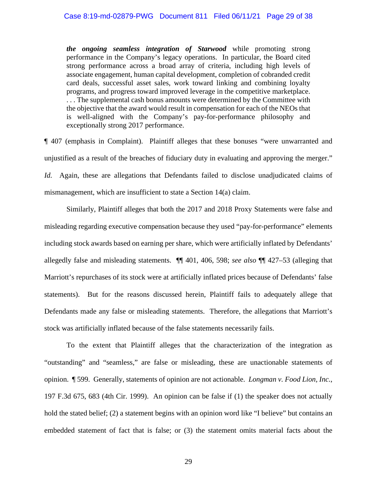*the ongoing seamless integration of Starwood* while promoting strong performance in the Company's legacy operations. In particular, the Board cited strong performance across a broad array of criteria, including high levels of associate engagement, human capital development, completion of cobranded credit card deals, successful asset sales, work toward linking and combining loyalty programs, and progress toward improved leverage in the competitive marketplace. . . . The supplemental cash bonus amounts were determined by the Committee with the objective that the award would result in compensation for each of the NEOs that is well-aligned with the Company's pay-for-performance philosophy and exceptionally strong 2017 performance.

¶ 407 (emphasis in Complaint). Plaintiff alleges that these bonuses "were unwarranted and unjustified as a result of the breaches of fiduciary duty in evaluating and approving the merger." *Id.* Again, these are allegations that Defendants failed to disclose unadjudicated claims of mismanagement, which are insufficient to state a Section 14(a) claim.

Similarly, Plaintiff alleges that both the 2017 and 2018 Proxy Statements were false and misleading regarding executive compensation because they used "pay-for-performance" elements including stock awards based on earning per share, which were artificially inflated by Defendants' allegedly false and misleading statements. ¶¶ 401, 406, 598; *see also* ¶¶ 427–53 (alleging that Marriott's repurchases of its stock were at artificially inflated prices because of Defendants' false statements). But for the reasons discussed herein, Plaintiff fails to adequately allege that Defendants made any false or misleading statements. Therefore, the allegations that Marriott's stock was artificially inflated because of the false statements necessarily fails.

To the extent that Plaintiff alleges that the characterization of the integration as "outstanding" and "seamless," are false or misleading, these are unactionable statements of opinion. ¶ 599. Generally, statements of opinion are not actionable. *Longman v. Food Lion, Inc.*, 197 F.3d 675, 683 (4th Cir. 1999). An opinion can be false if (1) the speaker does not actually hold the stated belief; (2) a statement begins with an opinion word like "I believe" but contains an embedded statement of fact that is false; or (3) the statement omits material facts about the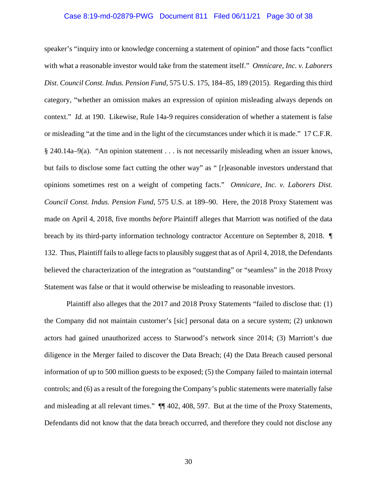# Case 8:19-md-02879-PWG Document 811 Filed 06/11/21 Page 30 of 38

speaker's "inquiry into or knowledge concerning a statement of opinion" and those facts "conflict with what a reasonable investor would take from the statement itself." *Omnicare, Inc. v. Laborers Dist. Council Const. Indus. Pension Fund*, 575 U.S. 175, 184–85, 189 (2015). Regarding this third category, "whether an omission makes an expression of opinion misleading always depends on context." *Id.* at 190. Likewise, Rule 14a-9 requires consideration of whether a statement is false or misleading "at the time and in the light of the circumstances under which it is made." 17 C.F.R. § 240.14a–9(a). "An opinion statement . . . is not necessarily misleading when an issuer knows, but fails to disclose some fact cutting the other way" as " [r]easonable investors understand that opinions sometimes rest on a weight of competing facts." *Omnicare, Inc. v. Laborers Dist. Council Const. Indus. Pension Fund*, 575 U.S. at 189–90. Here, the 2018 Proxy Statement was made on April 4, 2018, five months *before* Plaintiff alleges that Marriott was notified of the data breach by its third-party information technology contractor Accenture on September 8, 2018. ¶ 132. Thus, Plaintiff fails to allege facts to plausibly suggest that as of April 4, 2018, the Defendants believed the characterization of the integration as "outstanding" or "seamless" in the 2018 Proxy Statement was false or that it would otherwise be misleading to reasonable investors.

Plaintiff also alleges that the 2017 and 2018 Proxy Statements "failed to disclose that: (1) the Company did not maintain customer's [sic] personal data on a secure system; (2) unknown actors had gained unauthorized access to Starwood's network since 2014; (3) Marriott's due diligence in the Merger failed to discover the Data Breach; (4) the Data Breach caused personal information of up to 500 million guests to be exposed; (5) the Company failed to maintain internal controls; and (6) as a result of the foregoing the Company's public statements were materially false and misleading at all relevant times." ¶¶ 402, 408, 597. But at the time of the Proxy Statements, Defendants did not know that the data breach occurred, and therefore they could not disclose any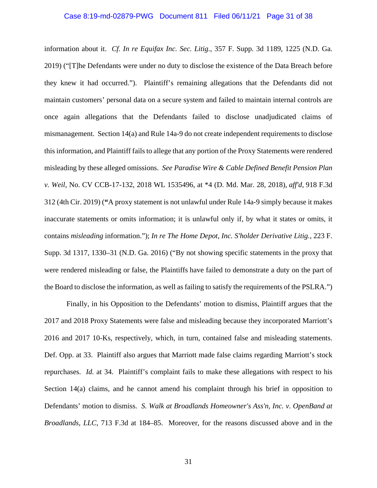# Case 8:19-md-02879-PWG Document 811 Filed 06/11/21 Page 31 of 38

information about it. *Cf. In re Equifax Inc. Sec. Litig.*, 357 F. Supp. 3d 1189, 1225 (N.D. Ga. 2019) ("[T]he Defendants were under no duty to disclose the existence of the Data Breach before they knew it had occurred."). Plaintiff's remaining allegations that the Defendants did not maintain customers' personal data on a secure system and failed to maintain internal controls are once again allegations that the Defendants failed to disclose unadjudicated claims of mismanagement. Section 14(a) and Rule 14a-9 do not create independent requirements to disclose this information, and Plaintiff fails to allege that any portion of the Proxy Statements were rendered misleading by these alleged omissions. *See Paradise Wire & Cable Defined Benefit Pension Plan v. Weil*, No. CV CCB-17-132, 2018 WL 1535496, at \*4 (D. Md. Mar. 28, 2018), *aff'd*, 918 F.3d 312 (4th Cir. 2019) (**"**A proxy statement is not unlawful under Rule 14a-9 simply because it makes inaccurate statements or omits information; it is unlawful only if, by what it states or omits, it contains *misleading* information."); *In re The Home Depot, Inc. S'holder Derivative Litig.*, 223 F. Supp. 3d 1317, 1330–31 (N.D. Ga. 2016) ("By not showing specific statements in the proxy that were rendered misleading or false, the Plaintiffs have failed to demonstrate a duty on the part of the Board to disclose the information, as well as failing to satisfy the requirements of the PSLRA.")

Finally, in his Opposition to the Defendants' motion to dismiss, Plaintiff argues that the 2017 and 2018 Proxy Statements were false and misleading because they incorporated Marriott's 2016 and 2017 10-Ks, respectively, which, in turn, contained false and misleading statements. Def. Opp. at 33. Plaintiff also argues that Marriott made false claims regarding Marriott's stock repurchases. *Id.* at 34. Plaintiff's complaint fails to make these allegations with respect to his Section 14(a) claims, and he cannot amend his complaint through his brief in opposition to Defendants' motion to dismiss. *S. Walk at Broadlands Homeowner's Ass'n, Inc. v. OpenBand at Broadlands, LLC*, 713 F.3d at 184–85. Moreover, for the reasons discussed above and in the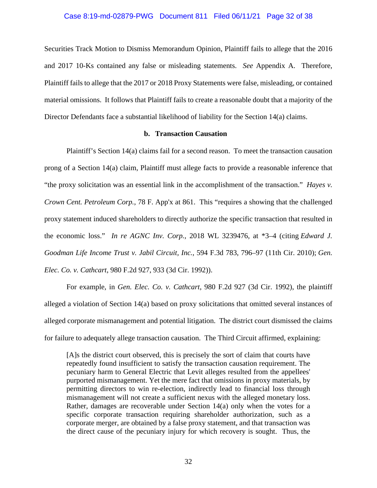# Case 8:19-md-02879-PWG Document 811 Filed 06/11/21 Page 32 of 38

Securities Track Motion to Dismiss Memorandum Opinion, Plaintiff fails to allege that the 2016 and 2017 10-Ks contained any false or misleading statements. *See* Appendix A. Therefore, Plaintiff fails to allege that the 2017 or 2018 Proxy Statements were false, misleading, or contained material omissions. It follows that Plaintiff fails to create a reasonable doubt that a majority of the Director Defendants face a substantial likelihood of liability for the Section 14(a) claims.

# **b. Transaction Causation**

Plaintiff's Section 14(a) claims fail for a second reason. To meet the transaction causation prong of a Section 14(a) claim, Plaintiff must allege facts to provide a reasonable inference that "the proxy solicitation was an essential link in the accomplishment of the transaction." *Hayes v. Crown Cent. Petroleum Corp.*, 78 F. App'x at 861. This "requires a showing that the challenged proxy statement induced shareholders to directly authorize the specific transaction that resulted in the economic loss." *In re AGNC Inv. Corp.*, 2018 WL 3239476, at \*3–4 (citing *Edward J. Goodman Life Income Trust v. Jabil Circuit, Inc.*, 594 F.3d 783, 796–97 (11th Cir. 2010); *Gen. Elec. Co. v. Cathcart*, 980 F.2d 927, 933 (3d Cir. 1992)).

For example, in *Gen. Elec. Co. v. Cathcart*, 980 F.2d 927 (3d Cir. 1992), the plaintiff alleged a violation of Section 14(a) based on proxy solicitations that omitted several instances of alleged corporate mismanagement and potential litigation. The district court dismissed the claims for failure to adequately allege transaction causation. The Third Circuit affirmed, explaining:

[A]s the district court observed, this is precisely the sort of claim that courts have repeatedly found insufficient to satisfy the transaction causation requirement. The pecuniary harm to General Electric that Levit alleges resulted from the appellees' purported mismanagement. Yet the mere fact that omissions in proxy materials, by permitting directors to win re-election, indirectly lead to financial loss through mismanagement will not create a sufficient nexus with the alleged monetary loss. Rather, damages are recoverable under Section 14(a) only when the votes for a specific corporate transaction requiring shareholder authorization, such as a corporate merger, are obtained by a false proxy statement, and that transaction was the direct cause of the pecuniary injury for which recovery is sought. Thus, the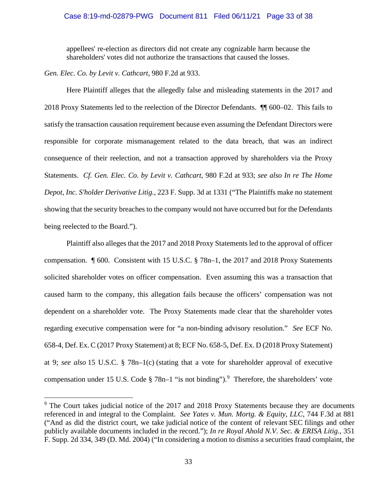# Case 8:19-md-02879-PWG Document 811 Filed 06/11/21 Page 33 of 38

appellees' re-election as directors did not create any cognizable harm because the shareholders' votes did not authorize the transactions that caused the losses.

*Gen. Elec. Co. by Levit v. Cathcart*, 980 F.2d at 933.

Here Plaintiff alleges that the allegedly false and misleading statements in the 2017 and 2018 Proxy Statements led to the reelection of the Director Defendants. ¶¶ 600–02. This fails to satisfy the transaction causation requirement because even assuming the Defendant Directors were responsible for corporate mismanagement related to the data breach, that was an indirect consequence of their reelection, and not a transaction approved by shareholders via the Proxy Statements. *Cf. Gen. Elec. Co. by Levit v. Cathcart*, 980 F.2d at 933; *see also In re The Home Depot, Inc. S'holder Derivative Litig.*, 223 F. Supp. 3d at 1331 ("The Plaintiffs make no statement showing that the security breaches to the company would not have occurred but for the Defendants being reelected to the Board.").

Plaintiff also alleges that the 2017 and 2018 Proxy Statements led to the approval of officer compensation. ¶ 600. Consistent with 15 U.S.C. § 78n–1, the 2017 and 2018 Proxy Statements solicited shareholder votes on officer compensation. Even assuming this was a transaction that caused harm to the company, this allegation fails because the officers' compensation was not dependent on a shareholder vote. The Proxy Statements made clear that the shareholder votes regarding executive compensation were for "a non-binding advisory resolution." *See* ECF No. 658-4, Def. Ex. C (2017 Proxy Statement) at 8; ECF No. 658-5, Def. Ex. D (2018 Proxy Statement) at 9; *see also* 15 U.S.C. § 78n–1(c) (stating that a vote for shareholder approval of executive compensation under 15 U.S. Code  $\S 78n-1$  "is not binding").<sup>9</sup> Therefore, the shareholders' vote

<sup>&</sup>lt;sup>9</sup> The Court takes judicial notice of the 2017 and 2018 Proxy Statements because they are documents referenced in and integral to the Complaint. *See Yates v. Mun. Mortg. & Equity, LLC*, 744 F.3d at 881 ("And as did the district court, we take judicial notice of the content of relevant SEC filings and other publicly available documents included in the record."); *In re Royal Ahold N.V. Sec. & ERISA Litig.*, 351 F. Supp. 2d 334, 349 (D. Md. 2004) ("In considering a motion to dismiss a securities fraud complaint, the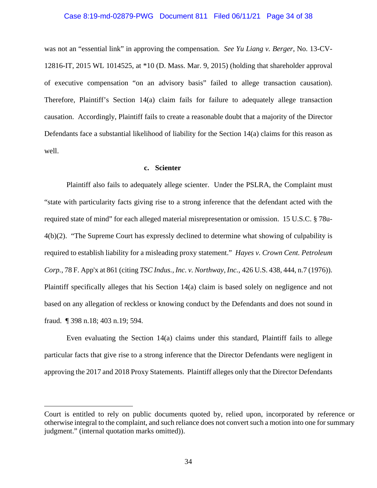# Case 8:19-md-02879-PWG Document 811 Filed 06/11/21 Page 34 of 38

was not an "essential link" in approving the compensation. *See Yu Liang v. Berger*, No. 13-CV-12816-IT, 2015 WL 1014525, at \*10 (D. Mass. Mar. 9, 2015) (holding that shareholder approval of executive compensation "on an advisory basis" failed to allege transaction causation). Therefore, Plaintiff's Section 14(a) claim fails for failure to adequately allege transaction causation. Accordingly, Plaintiff fails to create a reasonable doubt that a majority of the Director Defendants face a substantial likelihood of liability for the Section 14(a) claims for this reason as well.

### **c. Scienter**

Plaintiff also fails to adequately allege scienter. Under the PSLRA, the Complaint must "state with particularity facts giving rise to a strong inference that the defendant acted with the required state of mind" for each alleged material misrepresentation or omission. 15 U.S.C. § 78u-4(b)(2). "The Supreme Court has expressly declined to determine what showing of culpability is required to establish liability for a misleading proxy statement." *Hayes v. Crown Cent. Petroleum Corp.*, 78 F. App'x at 861 (citing *TSC Indus., Inc. v. Northway, Inc.*, 426 U.S. 438, 444, n.7 (1976)). Plaintiff specifically alleges that his Section 14(a) claim is based solely on negligence and not based on any allegation of reckless or knowing conduct by the Defendants and does not sound in fraud. ¶ 398 n.18; 403 n.19; 594.

Even evaluating the Section 14(a) claims under this standard, Plaintiff fails to allege particular facts that give rise to a strong inference that the Director Defendants were negligent in approving the 2017 and 2018 Proxy Statements. Plaintiff alleges only that the Director Defendants

Court is entitled to rely on public documents quoted by, relied upon, incorporated by reference or otherwise integral to the complaint, and such reliance does not convert such a motion into one for summary judgment." (internal quotation marks omitted)).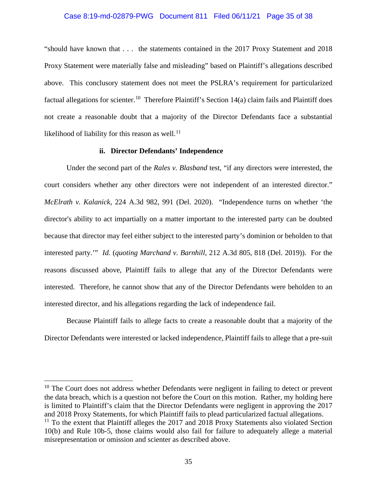# Case 8:19-md-02879-PWG Document 811 Filed 06/11/21 Page 35 of 38

"should have known that . . . the statements contained in the 2017 Proxy Statement and 2018 Proxy Statement were materially false and misleading" based on Plaintiff's allegations described above. This conclusory statement does not meet the PSLRA's requirement for particularized factual allegations for scienter.<sup>10</sup> Therefore Plaintiff's Section 14(a) claim fails and Plaintiff does not create a reasonable doubt that a majority of the Director Defendants face a substantial likelihood of liability for this reason as well.<sup>11</sup>

# **ii. Director Defendants' Independence**

Under the second part of the *Rales v. Blasband* test, "if any directors were interested, the court considers whether any other directors were not independent of an interested director." *McElrath v. Kalanick*, 224 A.3d 982, 991 (Del. 2020). "Independence turns on whether 'the director's ability to act impartially on a matter important to the interested party can be doubted because that director may feel either subject to the interested party's dominion or beholden to that interested party.'" *Id.* (*quoting Marchand v. Barnhill*, 212 A.3d 805, 818 (Del. 2019)). For the reasons discussed above, Plaintiff fails to allege that any of the Director Defendants were interested. Therefore, he cannot show that any of the Director Defendants were beholden to an interested director, and his allegations regarding the lack of independence fail.

Because Plaintiff fails to allege facts to create a reasonable doubt that a majority of the Director Defendants were interested or lacked independence, Plaintiff fails to allege that a pre-suit

 $10$  The Court does not address whether Defendants were negligent in failing to detect or prevent the data breach, which is a question not before the Court on this motion. Rather, my holding here is limited to Plaintiff's claim that the Director Defendants were negligent in approving the 2017 and 2018 Proxy Statements, for which Plaintiff fails to plead particularized factual allegations.  $11$  To the extent that Plaintiff alleges the 2017 and 2018 Proxy Statements also violated Section 10(b) and Rule 10b-5, those claims would also fail for failure to adequately allege a material misrepresentation or omission and scienter as described above.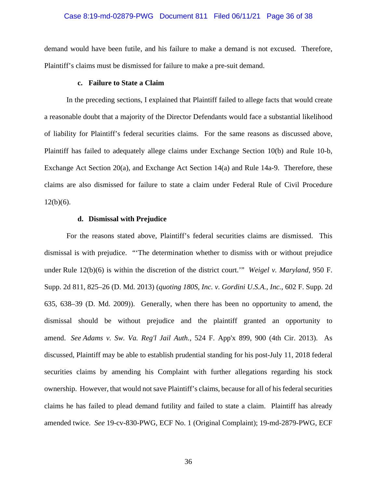# Case 8:19-md-02879-PWG Document 811 Filed 06/11/21 Page 36 of 38

demand would have been futile, and his failure to make a demand is not excused. Therefore, Plaintiff's claims must be dismissed for failure to make a pre-suit demand.

### **c. Failure to State a Claim**

In the preceding sections, I explained that Plaintiff failed to allege facts that would create a reasonable doubt that a majority of the Director Defendants would face a substantial likelihood of liability for Plaintiff's federal securities claims. For the same reasons as discussed above, Plaintiff has failed to adequately allege claims under Exchange Section 10(b) and Rule 10-b, Exchange Act Section 20(a), and Exchange Act Section 14(a) and Rule 14a-9. Therefore, these claims are also dismissed for failure to state a claim under Federal Rule of Civil Procedure  $12(b)(6)$ .

# **d. Dismissal with Prejudice**

For the reasons stated above, Plaintiff's federal securities claims are dismissed. This dismissal is with prejudice. "'The determination whether to dismiss with or without prejudice under Rule 12(b)(6) is within the discretion of the district court.'" *Weigel v. Maryland*, 950 F. Supp. 2d 811, 825–26 (D. Md. 2013) (*quoting 180S, Inc. v. Gordini U.S.A., Inc.*, 602 F. Supp. 2d 635, 638–39 (D. Md. 2009)). Generally, when there has been no opportunity to amend, the dismissal should be without prejudice and the plaintiff granted an opportunity to amend. *See Adams v. Sw. Va. Reg'l Jail Auth.*, 524 F. App'x 899, 900 (4th Cir. 2013). As discussed, Plaintiff may be able to establish prudential standing for his post-July 11, 2018 federal securities claims by amending his Complaint with further allegations regarding his stock ownership. However, that would not save Plaintiff's claims, because for all of his federal securities claims he has failed to plead demand futility and failed to state a claim. Plaintiff has already amended twice. *See* 19-cv-830-PWG, ECF No. 1 (Original Complaint); 19-md-2879-PWG, ECF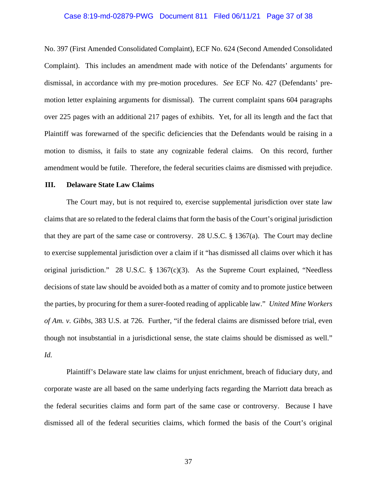# Case 8:19-md-02879-PWG Document 811 Filed 06/11/21 Page 37 of 38

No. 397 (First Amended Consolidated Complaint), ECF No. 624 (Second Amended Consolidated Complaint). This includes an amendment made with notice of the Defendants' arguments for dismissal, in accordance with my pre-motion procedures. *See* ECF No. 427 (Defendants' premotion letter explaining arguments for dismissal). The current complaint spans 604 paragraphs over 225 pages with an additional 217 pages of exhibits. Yet, for all its length and the fact that Plaintiff was forewarned of the specific deficiencies that the Defendants would be raising in a motion to dismiss, it fails to state any cognizable federal claims. On this record, further amendment would be futile. Therefore, the federal securities claims are dismissed with prejudice.

# **III. Delaware State Law Claims**

The Court may, but is not required to, exercise supplemental jurisdiction over state law claims that are so related to the federal claims that form the basis of the Court's original jurisdiction that they are part of the same case or controversy. 28 U.S.C.  $\S$  1367(a). The Court may decline to exercise supplemental jurisdiction over a claim if it "has dismissed all claims over which it has original jurisdiction." 28 U.S.C. § 1367(c)(3). As the Supreme Court explained, "Needless decisions of state law should be avoided both as a matter of comity and to promote justice between the parties, by procuring for them a surer-footed reading of applicable law." *United Mine Workers of Am. v. Gibbs*, 383 U.S. at 726. Further, "if the federal claims are dismissed before trial, even though not insubstantial in a jurisdictional sense, the state claims should be dismissed as well." *Id.*

Plaintiff's Delaware state law claims for unjust enrichment, breach of fiduciary duty, and corporate waste are all based on the same underlying facts regarding the Marriott data breach as the federal securities claims and form part of the same case or controversy. Because I have dismissed all of the federal securities claims, which formed the basis of the Court's original